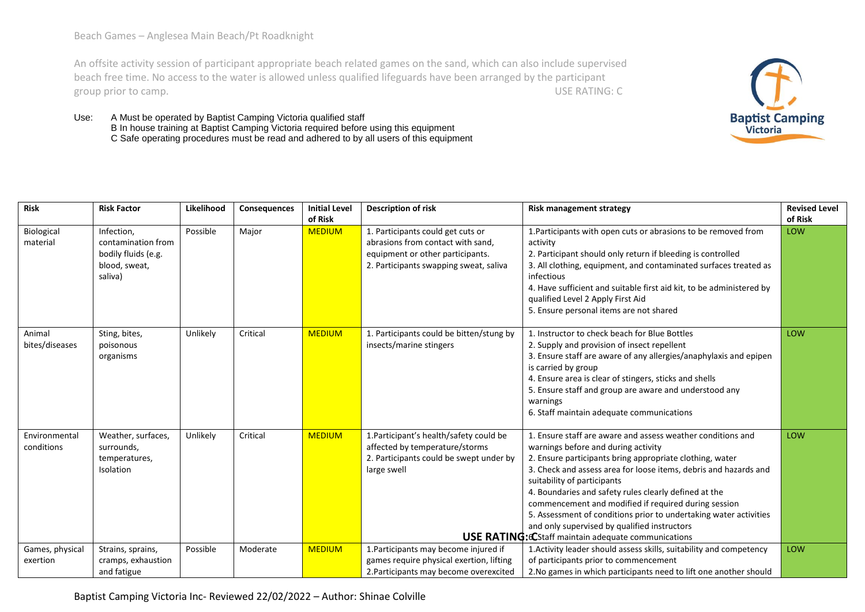Beach Games – Anglesea Main Beach/Pt Roadknight

An offsite activity session of participant appropriate beach related games on the sand, which can also include supervised beach free time. No access to the water is allowed unless qualified lifeguards have been arranged by the participant group prior to camp. USE RATING: C



Use: A Must be operated by Baptist Camping Victoria qualified staff B In house training at Baptist Camping Victoria required before using this equipment C Safe operating procedures must be read and adhered to by all users of this equipment

| <b>Risk</b>                 | <b>Risk Factor</b>                                                                  | Likelihood | Consequences | <b>Initial Level</b><br>of Risk | <b>Description of risk</b>                                                                                                                           | <b>Risk management strategy</b>                                                                                                                                                                                                                                                                                                                                                                                                                                                                                                                                       | <b>Revised Level</b><br>of Risk |
|-----------------------------|-------------------------------------------------------------------------------------|------------|--------------|---------------------------------|------------------------------------------------------------------------------------------------------------------------------------------------------|-----------------------------------------------------------------------------------------------------------------------------------------------------------------------------------------------------------------------------------------------------------------------------------------------------------------------------------------------------------------------------------------------------------------------------------------------------------------------------------------------------------------------------------------------------------------------|---------------------------------|
| Biological<br>material      | Infection,<br>contamination from<br>bodily fluids (e.g.<br>blood, sweat,<br>saliva) | Possible   | Major        | <b>MEDIUM</b>                   | 1. Participants could get cuts or<br>abrasions from contact with sand,<br>equipment or other participants.<br>2. Participants swapping sweat, saliva | 1. Participants with open cuts or abrasions to be removed from<br>activity<br>2. Participant should only return if bleeding is controlled<br>3. All clothing, equipment, and contaminated surfaces treated as<br>infectious<br>4. Have sufficient and suitable first aid kit, to be administered by<br>qualified Level 2 Apply First Aid<br>5. Ensure personal items are not shared                                                                                                                                                                                   | LOW                             |
| Animal<br>bites/diseases    | Sting, bites,<br>poisonous<br>organisms                                             | Unlikely   | Critical     | <b>MEDIUM</b>                   | 1. Participants could be bitten/stung by<br>insects/marine stingers                                                                                  | 1. Instructor to check beach for Blue Bottles<br>2. Supply and provision of insect repellent<br>3. Ensure staff are aware of any allergies/anaphylaxis and epipen<br>is carried by group<br>4. Ensure area is clear of stingers, sticks and shells<br>5. Ensure staff and group are aware and understood any<br>warnings<br>6. Staff maintain adequate communications                                                                                                                                                                                                 | LOW                             |
| Environmental<br>conditions | Weather, surfaces,<br>surrounds,<br>temperatures,<br><b>Isolation</b>               | Unlikely   | Critical     | <b>MEDIUM</b>                   | 1. Participant's health/safety could be<br>affected by temperature/storms<br>2. Participants could be swept under by<br>large swell                  | 1. Ensure staff are aware and assess weather conditions and<br>warnings before and during activity<br>2. Ensure participants bring appropriate clothing, water<br>3. Check and assess area for loose items, debris and hazards and<br>suitability of participants<br>4. Boundaries and safety rules clearly defined at the<br>commencement and modified if required during session<br>5. Assessment of conditions prior to undertaking water activities<br>and only supervised by qualified instructors<br><b>USE RATING: CStaff maintain adequate communications</b> | LOW                             |
| Games, physical<br>exertion | Strains, sprains,<br>cramps, exhaustion<br>and fatigue                              | Possible   | Moderate     | <b>MEDIUM</b>                   | 1. Participants may become injured if<br>games require physical exertion, lifting<br>2. Participants may become overexcited                          | 1. Activity leader should assess skills, suitability and competency<br>of participants prior to commencement<br>2. No games in which participants need to lift one another should                                                                                                                                                                                                                                                                                                                                                                                     | LOW                             |

Baptist Camping Victoria Inc- Reviewed 22/02/2022 – Author: Shinae Colville